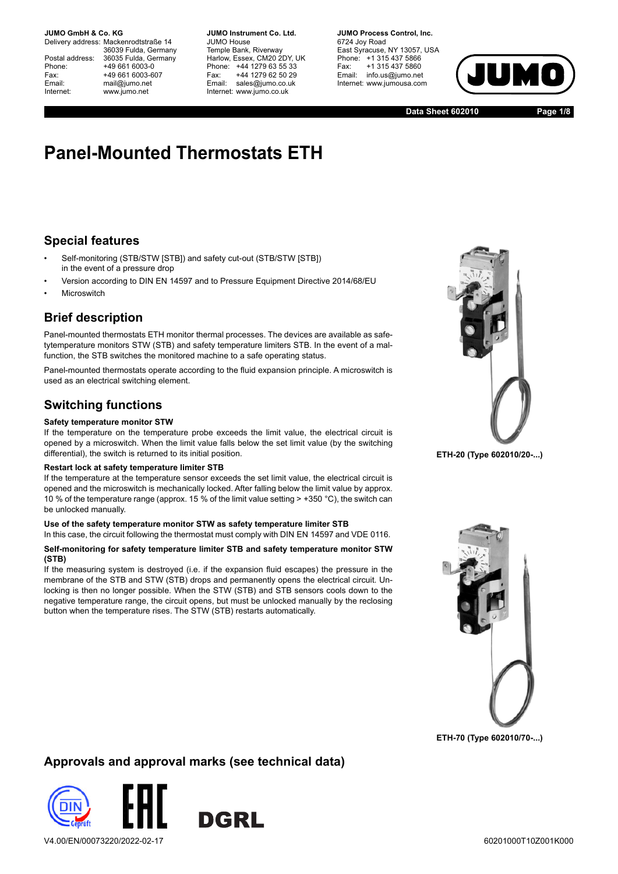Phone: +49 661 6003-0 Email: mail@jumo.net

Delivery address: Mackenrodtstraße 14 36039 Fulda, Germany Postal address: 36035 Fulda, Germany Fax: +49 661 6003-607 Internet: www.jumo.net

**JUMO Instrument Co. Ltd.** JUMO House Temple Bank, Riverway Harlow, Essex, CM20 2DY, UK Phone: +44 1279 63 55 33 Fax: +44 1279 62 50 29 Email: sales@jumo.co.uk Internet: www.jumo.co.uk

**JUMO Process Control, Inc.** 6724 Joy Road East Syracuse, NY 13057, USA Phone: +1 315 437 5866 Fax: +1 315 437 5860 Email: info.us@jumo.net Internet: www.jumousa.com



**Data Sheet 602010 Page 1/8**

# **Panel-Mounted Thermostats ETH**

### **Special features**

- Self-monitoring (STB/STW [STB]) and safety cut-out (STB/STW [STB]) in the event of a pressure drop
- Version according to DIN EN 14597 and to Pressure Equipment Directive 2014/68/EU
- **Microswitch**

### **Brief description**

Panel-mounted thermostats ETH monitor thermal processes. The devices are available as safetytemperature monitors STW (STB) and safety temperature limiters STB. In the event of a malfunction, the STB switches the monitored machine to a safe operating status.

Panel-mounted thermostats operate according to the fluid expansion principle. A microswitch is used as an electrical switching element.

### **Switching functions**

#### **Safety temperature monitor STW**

If the temperature on the temperature probe exceeds the limit value, the electrical circuit is opened by a microswitch. When the limit value falls below the set limit value (by the switching differential), the switch is returned to its initial position.

#### **Restart lock at safety temperature limiter STB**

If the temperature at the temperature sensor exceeds the set limit value, the electrical circuit is opened and the microswitch is mechanically locked. After falling below the limit value by approx. 10 % of the temperature range (approx. 15 % of the limit value setting > +350 °C), the switch can be unlocked manually.

#### **Use of the safety temperature monitor STW as safety temperature limiter STB**

In this case, the circuit following the thermostat must comply with DIN EN 14597 and VDE 0116.

#### **Self-monitoring for safety temperature limiter STB and safety temperature monitor STW (STB)**

If the measuring system is destroyed (i.e. if the expansion fluid escapes) the pressure in the membrane of the STB and STW (STB) drops and permanently opens the electrical circuit. Unlocking is then no longer possible. When the STW (STB) and STB sensors cools down to the negative temperature range, the circuit opens, but must be unlocked manually by the reclosing button when the temperature rises. The STW (STB) restarts automatically.



**ETH-20 (Type 602010/20-...)**



**ETH-70 (Type 602010/70-...)**

### **Approvals and approval marks (see technical data)**



V4.00/EN/00073220/2022-02-17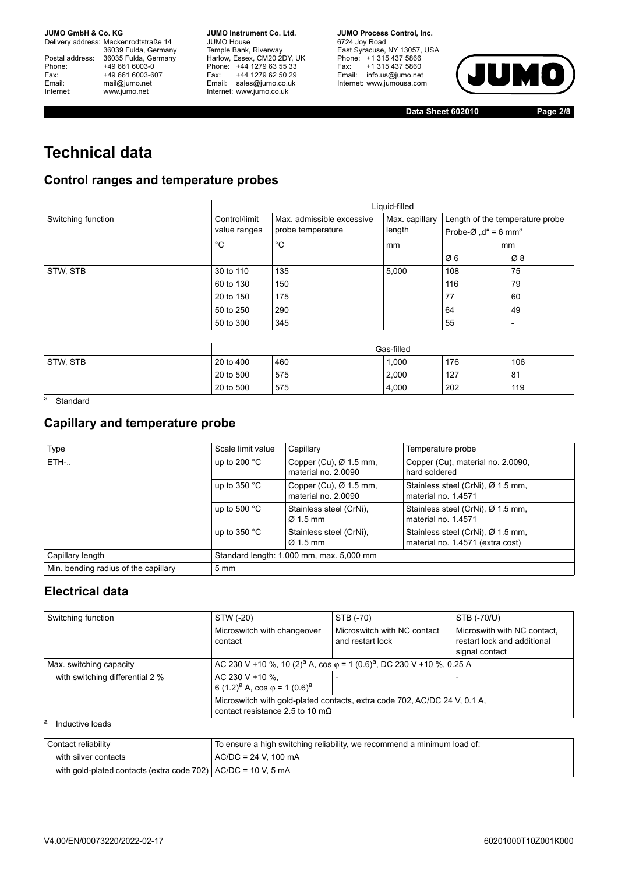Delivery address: Mackenrodtstraße 14 36039 Fulda, Germany Postal address: 36035 Fulda, Germany Phone: +49 661 6003-0<br>
Fax: +49 661 6003-6<br>
Email: mail@jumo.net +49 661 6003-607 mail@jumo.net Internet: www.jumo.net

**JUMO Instrument Co. Ltd.** JUMO House Temple Bank, Riverway Harlow, Essex, CM20 2DY, UK Phone: +44 1279 63 55 33 Fax: +44 1279 62 50 29 Email: sales@jumo.co.uk Internet: www.jumo.co.uk

**JUMO Process Control, Inc.** 6724 Joy Road East Syracuse, NY 13057, USA Phone: +1 315 437 5866 Fax: +1 315 437 5860 Email: info.us@jumo.net Internet: www.jumousa.com



**Data Sheet 602010 Page 2/8**

# **Technical data**

### **Control ranges and temperature probes**

|                    |               | Liquid-filled             |                |                                              |                |  |  |  |  |  |
|--------------------|---------------|---------------------------|----------------|----------------------------------------------|----------------|--|--|--|--|--|
| Switching function | Control/limit | Max. admissible excessive | Max. capillary | Length of the temperature probe              |                |  |  |  |  |  |
|                    | value ranges  | probe temperature         | length         | Probe- $\varnothing$ "d" = 6 mm <sup>a</sup> |                |  |  |  |  |  |
|                    | °C            | °C                        | mm             |                                              | mm             |  |  |  |  |  |
|                    |               |                           |                | Ø6                                           | Ø8             |  |  |  |  |  |
| STW, STB           | 30 to 110     | 135                       | 5,000          | 108                                          | 75             |  |  |  |  |  |
|                    | 60 to 130     | 150                       |                | 116                                          | 79             |  |  |  |  |  |
|                    | 20 to 150     | 175                       |                | 77                                           | 60             |  |  |  |  |  |
|                    | 50 to 250     | 290                       |                | 64                                           | 49             |  |  |  |  |  |
|                    | 50 to 300     | 345                       |                | 55                                           | $\blacksquare$ |  |  |  |  |  |

|                             | Gas-filled<br>176<br>106<br>20 to 400<br>460<br>1.000<br>20 to 500<br>127<br>2,000<br>81<br>575 |     |       |     |     |  |  |
|-----------------------------|-------------------------------------------------------------------------------------------------|-----|-------|-----|-----|--|--|
| STW, STB                    |                                                                                                 |     |       |     |     |  |  |
|                             |                                                                                                 |     |       |     |     |  |  |
|                             | 20 to 500                                                                                       | 575 | 4,000 | 202 | 119 |  |  |
| $\sim$ $\sim$ $\sim$ $\sim$ |                                                                                                 |     |       |     |     |  |  |

a Standard

### **Capillary and temperature probe**

| Type                                 | Scale limit value                        | Capillary                                                 | Temperature probe                                                     |
|--------------------------------------|------------------------------------------|-----------------------------------------------------------|-----------------------------------------------------------------------|
| ETH-                                 | up to 200 $^{\circ}$ C                   | Copper (Cu), $\varnothing$ 1.5 mm,<br>material no. 2.0090 | Copper (Cu), material no. 2.0090,<br>hard soldered                    |
|                                      | up to $350 °C$                           | Copper (Cu), $\varnothing$ 1.5 mm,<br>material no. 2.0090 | Stainless steel (CrNi), Ø 1.5 mm,<br>material no. 1.4571              |
|                                      | up to 500 $^{\circ}$ C                   | Stainless steel (CrNi),<br>$\varnothing$ 1.5 mm           | Stainless steel (CrNi), Ø 1.5 mm,<br>material no. 1.4571              |
|                                      | up to $350 °C$                           | Stainless steel (CrNi).<br>$\varnothing$ 1.5 mm           | Stainless steel (CrNi), Ø 1.5 mm,<br>material no. 1.4571 (extra cost) |
| Capillary length                     | Standard length: 1,000 mm, max. 5,000 mm |                                                           |                                                                       |
| Min. bending radius of the capillary | $5 \text{ mm}$                           |                                                           |                                                                       |

### **Electrical data**

| Switching function              | STW (-20)                                                                                                            | STB (-70)                                                                                            | STB (-70/U)                                                                  |  |  |  |  |  |
|---------------------------------|----------------------------------------------------------------------------------------------------------------------|------------------------------------------------------------------------------------------------------|------------------------------------------------------------------------------|--|--|--|--|--|
|                                 | Microswitch with changeover<br>contact                                                                               | Microswitch with NC contact<br>and restart lock                                                      | Microswith with NC contact.<br>restart lock and additional<br>signal contact |  |  |  |  |  |
| Max. switching capacity         |                                                                                                                      | AC 230 V +10 %, 10 (2) <sup>a</sup> A, cos $\varphi$ = 1 (0.6) <sup>a</sup> , DC 230 V +10 %, 0.25 A |                                                                              |  |  |  |  |  |
| with switching differential 2 % | AC 230 V +10 %.<br>6 $(1.2)^a$ A, cos $\varphi$ = 1 $(0.6)^a$                                                        |                                                                                                      |                                                                              |  |  |  |  |  |
|                                 | Microswitch with gold-plated contacts, extra code 702, AC/DC 24 V, 0.1 A,<br>contact resistance 2.5 to 10 m $\Omega$ |                                                                                                      |                                                                              |  |  |  |  |  |
| а<br>Inductive loads            |                                                                                                                      |                                                                                                      |                                                                              |  |  |  |  |  |
| Contact reliability             |                                                                                                                      | To ensure a high switching reliability, we recommend a minimum load of:                              |                                                                              |  |  |  |  |  |
| with silver contacts            | $AC/DC = 24$ V. 100 mA                                                                                               |                                                                                                      |                                                                              |  |  |  |  |  |

| V4.00/EN/00073220/2022-02-17 |  |
|------------------------------|--|
|                              |  |

with gold-plated contacts (extra code 702)  $AC/DC = 10 V$ , 5 mA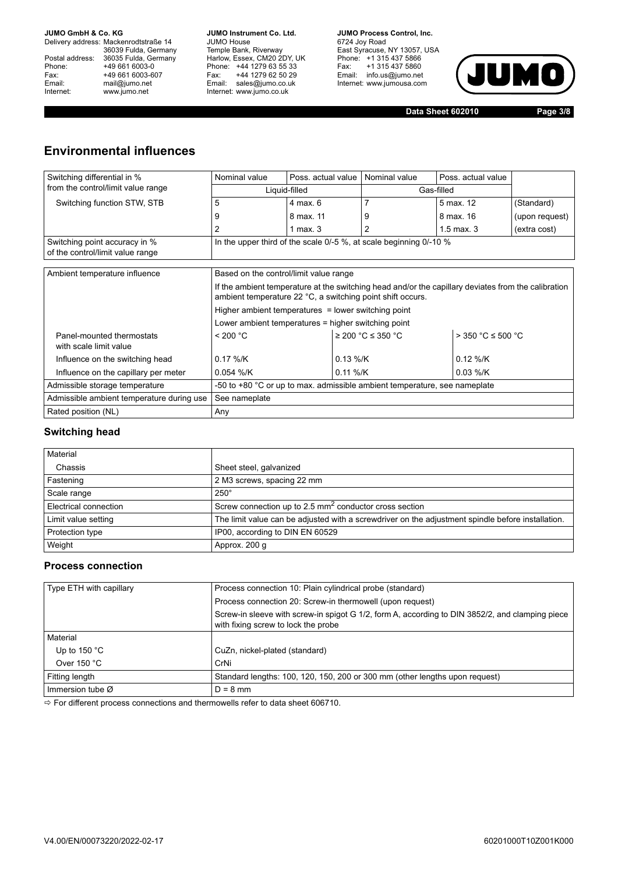Delivery address: Mackenrodtstraße 14 36039 Fulda, Germany Postal address: 36035 Fulda, Germany Phone: +49 661 6003-0<br>
Fax: +49 661 6003-6<br>
Email: mail@jumo.net +49 661 6003-607 mail@jumo.net Internet: www.jumo.net

**JUMO Instrument Co. Ltd.** JUMO House Temple Bank, Riverway Harlow, Essex, CM20 2DY, UK Phone: +44 1279 63 55 33 Fax: +44 1279 62 50 29 Email: sales@jumo.co.uk Internet: www.jumo.co.uk

**JUMO Process Control, Inc.** 6724 Joy Road East Syracuse, NY 13057, USA Phone: +1 315 437 5866 Fax: +1 315 437 5860 Email: info.us@jumo.net Internet: www.jumousa.com



**Data Sheet 602010 Page 3/8**

### **Environmental influences**

| Switching differential in %                                       | Nominal value                                                                                                                                                     | Poss, actual value                                  | Nominal value                                                               | Poss, actual value       |                |  |  |  |  |  |
|-------------------------------------------------------------------|-------------------------------------------------------------------------------------------------------------------------------------------------------------------|-----------------------------------------------------|-----------------------------------------------------------------------------|--------------------------|----------------|--|--|--|--|--|
| from the control/limit value range                                |                                                                                                                                                                   | Liquid-filled                                       |                                                                             | Gas-filled               |                |  |  |  |  |  |
| Switching function STW, STB                                       | 5                                                                                                                                                                 | $4$ max, $6$                                        |                                                                             | 5 max. 12                | (Standard)     |  |  |  |  |  |
|                                                                   | 9                                                                                                                                                                 | 8 max. 11                                           | 9                                                                           | 8 max. 16                | (upon request) |  |  |  |  |  |
|                                                                   | 2                                                                                                                                                                 | 1 max. $3$                                          |                                                                             | $1.5$ max, $3$           | (extra cost)   |  |  |  |  |  |
| Switching point accuracy in %<br>of the control/limit value range |                                                                                                                                                                   |                                                     | In the upper third of the scale 0/-5 %, at scale beginning 0/-10 %          |                          |                |  |  |  |  |  |
|                                                                   |                                                                                                                                                                   |                                                     |                                                                             |                          |                |  |  |  |  |  |
| Ambient temperature influence                                     | Based on the control/limit value range                                                                                                                            |                                                     |                                                                             |                          |                |  |  |  |  |  |
|                                                                   | If the ambient temperature at the switching head and/or the capillary deviates from the calibration<br>ambient temperature 22 °C, a switching point shift occurs. |                                                     |                                                                             |                          |                |  |  |  |  |  |
|                                                                   | Higher ambient temperatures = lower switching point                                                                                                               |                                                     |                                                                             |                          |                |  |  |  |  |  |
|                                                                   |                                                                                                                                                                   | Lower ambient temperatures = higher switching point |                                                                             |                          |                |  |  |  |  |  |
| Panel-mounted thermostats<br>with scale limit value               | < 200 °C                                                                                                                                                          | ≥ 200 °C ≤ 350 °C                                   |                                                                             | $>$ 350 °C $\leq$ 500 °C |                |  |  |  |  |  |
| Influence on the switching head                                   | $0.17\%$ /K                                                                                                                                                       | $0.13 \%$ /K                                        |                                                                             | $0.12\%$ /K              |                |  |  |  |  |  |
| Influence on the capillary per meter                              | $0.054$ %/K                                                                                                                                                       | $0.11 \%$ /K                                        |                                                                             | $0.03 \%$ /K             |                |  |  |  |  |  |
| Admissible storage temperature                                    |                                                                                                                                                                   |                                                     | -50 to $+80$ °C or up to max. admissible ambient temperature, see nameplate |                          |                |  |  |  |  |  |
| Admissible ambient temperature during use                         | See nameplate                                                                                                                                                     |                                                     |                                                                             |                          |                |  |  |  |  |  |
| Rated position (NL)                                               | Any                                                                                                                                                               |                                                     |                                                                             |                          |                |  |  |  |  |  |

#### **Switching head**

| Material              |                                                                                                   |
|-----------------------|---------------------------------------------------------------------------------------------------|
| Chassis               | Sheet steel, galvanized                                                                           |
| Fastening             | 2 M3 screws, spacing 22 mm                                                                        |
| Scale range           | $250^\circ$                                                                                       |
| Electrical connection | Screw connection up to 2.5 $mm2$ conductor cross section                                          |
| Limit value setting   | The limit value can be adjusted with a screwdriver on the adjustment spindle before installation. |
| Protection type       | IP00, according to DIN EN 60529                                                                   |
| Weight                | Approx. 200 q                                                                                     |

#### **Process connection**

| Type ETH with capillary      | Process connection 10: Plain cylindrical probe (standard)                                                                              |  |  |  |  |  |  |
|------------------------------|----------------------------------------------------------------------------------------------------------------------------------------|--|--|--|--|--|--|
|                              | Process connection 20: Screw-in thermowell (upon request)                                                                              |  |  |  |  |  |  |
|                              | Screw-in sleeve with screw-in spigot G 1/2, form A, according to DIN 3852/2, and clamping piece<br>with fixing screw to lock the probe |  |  |  |  |  |  |
| Material                     |                                                                                                                                        |  |  |  |  |  |  |
| Up to 150 $^{\circ}$ C       | CuZn, nickel-plated (standard)                                                                                                         |  |  |  |  |  |  |
| Over 150 $°C$                | CrNi                                                                                                                                   |  |  |  |  |  |  |
| Fitting length               | Standard lengths: 100, 120, 150, 200 or 300 mm (other lengths upon request)                                                            |  |  |  |  |  |  |
| Immersion tube $\varnothing$ | $D = 8$ mm                                                                                                                             |  |  |  |  |  |  |

 $\Rightarrow$  For different process connections and thermowells refer to data sheet 606710.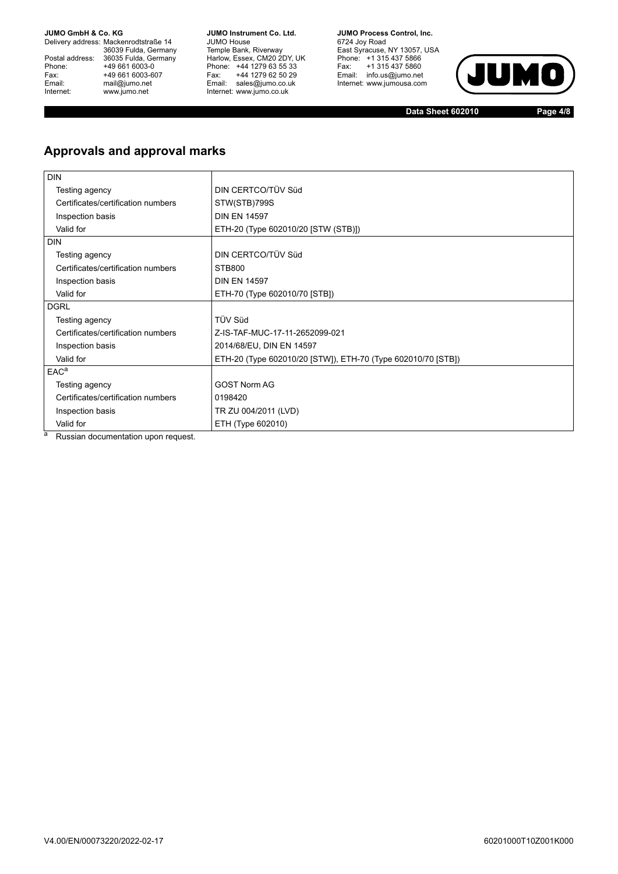Delivery address: Mackenrodtstraße 14 36039 Fulda, Germany Postal address: 36035 Fulda, Germany Phone: +49 661 6003-0<br>
Fax: +49 661 6003-6<br>
Email: mail@jumo.net +49 661 6003-607 mail@jumo.net Internet: www.jumo.net

**JUMO Instrument Co. Ltd.** JUMO House Temple Bank, Riverway Harlow, Essex, CM20 2DY, UK Phone: +44 1279 63 55 33 Fax: +44 1279 62 50 29 Email: sales@jumo.co.uk Internet: www.jumo.co.uk

**JUMO Process Control, Inc.** 6724 Joy Road East Syracuse, NY 13057, USA Phone: +1 315 437 5866 Fax: +1 315 437 5860 Email: info.us@jumo.net Internet: www.jumousa.com



**Data Sheet 602010 Page 4/8**

### **Approvals and approval marks**

| <b>DIN</b>                               |                                                              |
|------------------------------------------|--------------------------------------------------------------|
| Testing agency                           | DIN CERTCO/TÜV Süd                                           |
| Certificates/certification numbers       | STW(STB)799S                                                 |
| Inspection basis                         | <b>DIN EN 14597</b>                                          |
| Valid for                                | ETH-20 (Type 602010/20 [STW (STB)])                          |
| <b>DIN</b>                               |                                                              |
| Testing agency                           | DIN CERTCO/TÜV Süd                                           |
| Certificates/certification numbers       | <b>STB800</b>                                                |
| Inspection basis                         | <b>DIN EN 14597</b>                                          |
| Valid for                                | ETH-70 (Type 602010/70 [STB])                                |
| <b>DGRL</b>                              |                                                              |
| Testing agency                           | TÜV Süd                                                      |
| Certificates/certification numbers       | Z-IS-TAF-MUC-17-11-2652099-021                               |
| Inspection basis                         | 2014/68/EU, DIN EN 14597                                     |
| Valid for                                | ETH-20 (Type 602010/20 [STW]), ETH-70 (Type 602010/70 [STB]) |
| EAC <sup>a</sup>                         |                                                              |
| Testing agency                           | <b>GOST Norm AG</b>                                          |
| Certificates/certification numbers       | 0198420                                                      |
| Inspection basis                         | TR ZU 004/2011 (LVD)                                         |
| Valid for                                | ETH (Type 602010)                                            |
| a<br>Dreslaw da sumanitation corporation |                                                              |

Russian documentation upon request.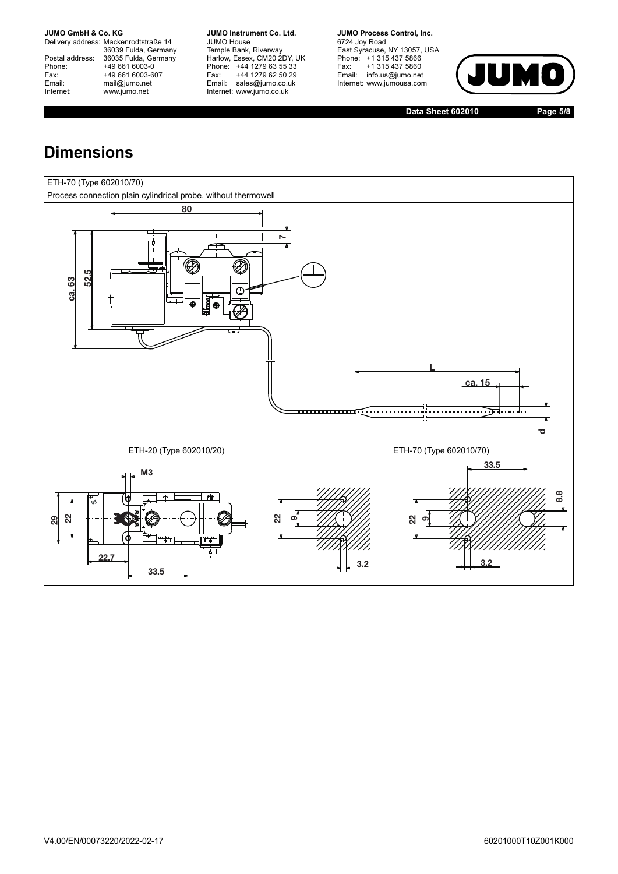Delivery address: Mackenrodtstraße 14 36039 Fulda, Germany Postal address: 36035 Fulda, Germany Postal address: 36035 Fulda, Ge<br>
Phone: +49 661 6003-0<br>
Fax: +49 661 6003-6<br>
Email: mail@jumo.net +49 661 6003-607 mail@jumo.net Internet: www.jumo.net

**JUMO Instrument Co. Ltd.** JUMO House Temple Bank, Riverway Harlow, Essex, CM20 2DY, UK Phone: +44 1279 63 55 33 Fax: +44 1279 62 50 29 Email: sales@jumo.co.uk Internet: www.jumo.co.uk

**JUMO Process Control, Inc.** 6724 Joy Road East Syracuse, NY 13057, USA Phone: +1 315 437 5866 Fax: +1 315 437 5860 Email: info.us@jumo.net Internet: www.jumousa.com



**Data Sheet 602010 Page 5/8**

# **Dimensions**

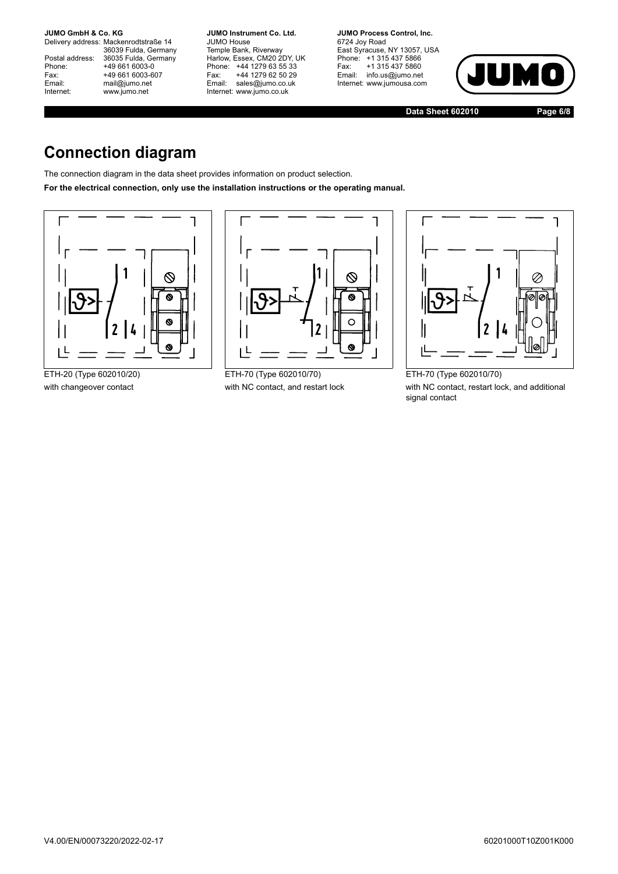Delivery address: Mackenrodtstraße 14 36039 Fulda, Germany Postal address: 36035 Fulda, Germany Postal address: 36035 Fulda, Ge<br>Phone: +49 661 6003-0 Fax: +49 661 6003-607<br>Email: mail@jumo.net mail@jumo.net Internet: www.jumo.net

**JUMO Instrument Co. Ltd.** JUMO House Temple Bank, Riverway Harlow, Essex, CM20 2DY, UK Phone: +44 1279 63 55 33 Fax: +44 1279 62 50 29 Email: sales@jumo.co.uk Internet: www.jumo.co.uk

**JUMO Process Control, Inc.** 6724 Joy Road East Syracuse, NY 13057, USA Phone: +1 315 437 5866 Fax: +1 315 437 5860 Email: info.us@jumo.net Internet: www.jumousa.com



**Data Sheet 602010 Page 6/8**

# **Connection diagram**

The connection diagram in the data sheet provides information on product selection.

**For the electrical connection, only use the installation instructions or the operating manual.**





ETH-20 (Type 602010/20) ETH-70 (Type 602010/70) ETH-70 (Type 602010/70)



with changeover contact with NC contact, and restart lock with NC contact, restart lock, and additional signal contact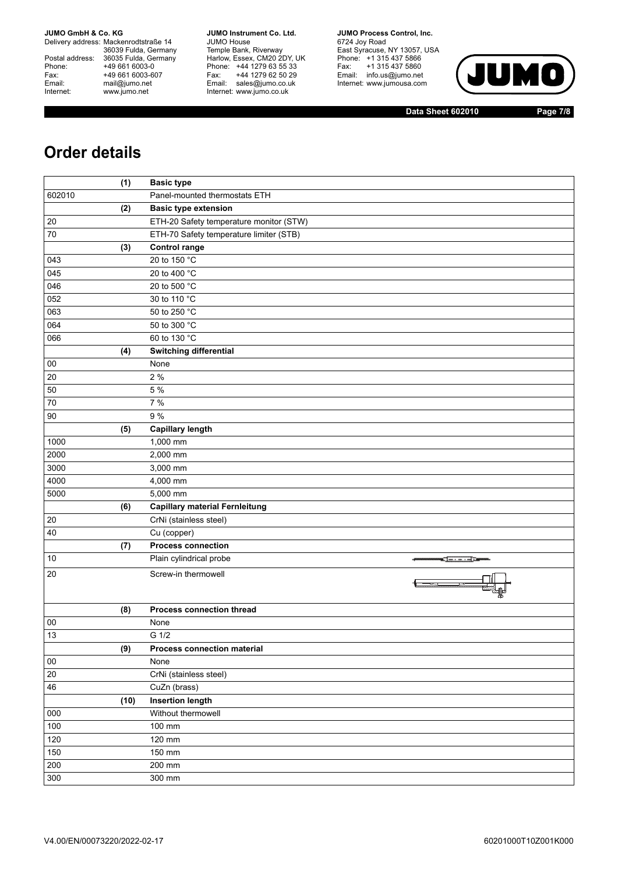Delivery address: Mackenrodtstraße 14 36039 Fulda, Germany Postal address: 36035 Fulda, Germany Phone: +49 661 6003-0<br>
Fax: +49 661 6003-6<br>
Email: mail@jumo.net +49 661 6003-607 mail@jumo.net Internet: www.jumo.net

**JUMO Instrument Co. Ltd.** JUMO House Temple Bank, Riverway Harlow, Essex, CM20 2DY, UK Phone: +44 1279 63 55 33 Fax: +44 1279 62 50 29 Email: sales@jumo.co.uk Internet: www.jumo.co.uk

**JUMO Process Control, Inc.** 6724 Joy Road East Syracuse, NY 13057, USA Phone: +1 315 437 5866 Fax: +1 315 437 5860 Email: info.us@jumo.net Internet: www.jumousa.com



**Data Sheet 602010 Page 7/8**

## **Order details**

|        | (1)  | <b>Basic type</b>                       |
|--------|------|-----------------------------------------|
| 602010 |      | Panel-mounted thermostats ETH           |
|        | (2)  | <b>Basic type extension</b>             |
| 20     |      | ETH-20 Safety temperature monitor (STW) |
| $70\,$ |      | ETH-70 Safety temperature limiter (STB) |
|        | (3)  | <b>Control range</b>                    |
| 043    |      | 20 to 150 °C                            |
| 045    |      | 20 to 400 °C                            |
| 046    |      | 20 to 500 °C                            |
| 052    |      | 30 to 110 °C                            |
| 063    |      | 50 to 250 °C                            |
| 064    |      | 50 to 300 °C                            |
| 066    |      | 60 to 130 °C                            |
|        | (4)  | <b>Switching differential</b>           |
| 00     |      | None                                    |
| 20     |      | 2 %                                     |
| 50     |      | 5 %                                     |
| 70     |      | 7 %                                     |
| 90     |      | 9 %                                     |
|        | (5)  | <b>Capillary length</b>                 |
| 1000   |      | 1,000 mm                                |
| 2000   |      | 2,000 mm                                |
| 3000   |      | 3,000 mm                                |
| 4000   |      | 4,000 mm                                |
| 5000   |      | 5,000 mm                                |
|        | (6)  | <b>Capillary material Fernleitung</b>   |
| 20     |      | CrNi (stainless steel)                  |
| 40     |      | Cu (copper)                             |
|        | (7)  | <b>Process connection</b>               |
| 10     |      | Plain cylindrical probe                 |
| 20     |      | Screw-in thermowell                     |
|        |      |                                         |
|        |      |                                         |
| 00     | (8)  | Process connection thread<br>None       |
| 13     |      | G 1/2                                   |
|        | (9)  | Process connection material             |
| $00\,$ |      | None                                    |
| 20     |      | CrNi (stainless steel)                  |
| 46     |      | CuZn (brass)                            |
|        | (10) | <b>Insertion length</b>                 |
| 000    |      | Without thermowell                      |
| 100    |      | 100 mm                                  |
| 120    |      | 120 mm                                  |
| 150    |      | 150 mm                                  |
| 200    |      | 200 mm                                  |
| 300    |      | 300 mm                                  |